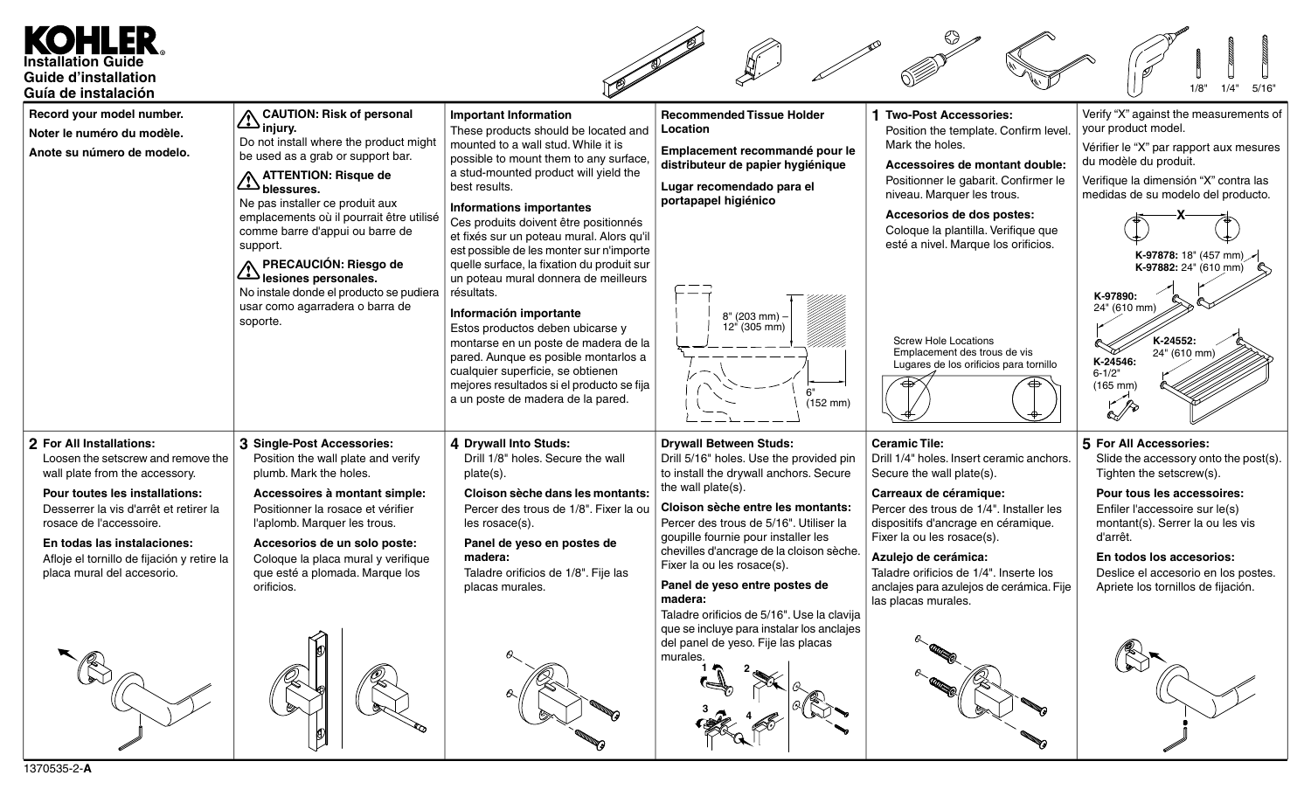